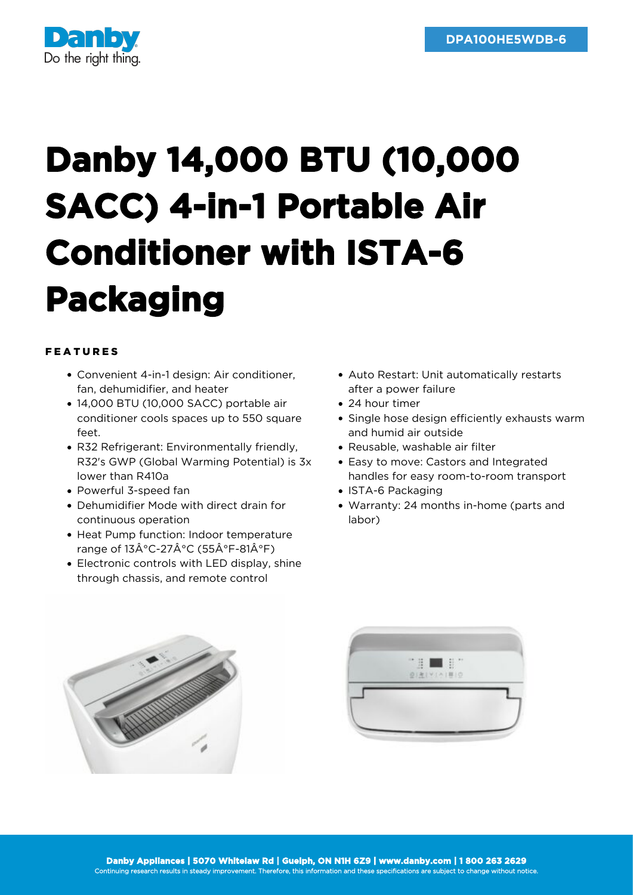

## **Danby 14,000 BTU (10,000 SACC) 4-in-1 Portable Air Conditioner with ISTA-6 Packaging**

## FEATURES

- Convenient 4-in-1 design: Air conditioner, fan, dehumidifier, and heater
- 14,000 BTU (10,000 SACC) portable air conditioner cools spaces up to 550 square feet.
- R32 Refrigerant: Environmentally friendly, R32's GWP (Global Warming Potential) is 3x lower than R410a
- Powerful 3-speed fan
- Dehumidifier Mode with direct drain for continuous operation
- Heat Pump function: Indoor temperature range of  $13\hat{A}^{\circ}$ C-27 $\hat{A}^{\circ}$ C (55 $\hat{A}^{\circ}$ F-81 $\hat{A}^{\circ}$ F)
- Electronic controls with LED display, shine through chassis, and remote control
- Auto Restart: Unit automatically restarts after a power failure
- 24 hour timer
- Single hose design efficiently exhausts warm and humid air outside
- Reusable, washable air filter
- Easy to move: Castors and Integrated handles for easy room-to-room transport
- ISTA-6 Packaging
- Warranty: 24 months in-home (parts and labor)